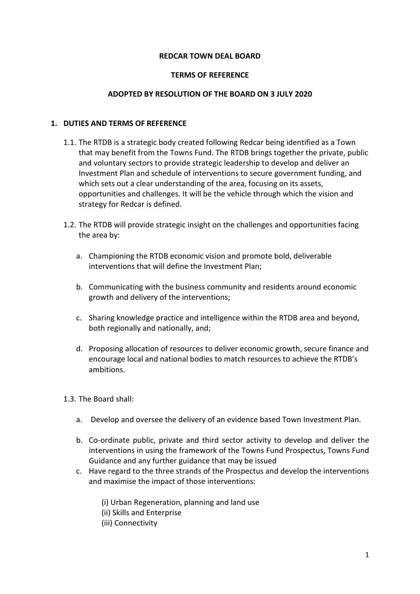### **REDCAR TOWN DEAL BOARD**

#### **TERMS OF REFERENCE**

#### **ADOPTED BY RESOLUTION OF THE BOARD ON 3 JULY 2020**

#### **1. DUTIES AND TERMS OF REFERENCE**

- 1.1. The RTDB is a strategic body created following Redcar being identified as a Town that may benefit from the Towns Fund. The RTDB brings together the private, public and voluntary sectors to provide strategic leadership to develop and deliver an Investment Plan and schedule of interventions to secure government funding, and which sets out a clear understanding of the area, focusing on its assets, opportunities and challenges. It will be the vehicle through which the vision and strategy for Redcar is defined.
- 1.2. The RTDB will provide strategic insight on the challenges and opportunities facing the area by:
	- a. Championing the RTDB economic vision and promote bold, deliverable interventions that will define the Investment Plan;
	- b. Communicating with the business community and residents around economic growth and delivery of the interventions;
	- c. Sharing knowledge practice and intelligence within the RTDB area and beyond, both regionally and nationally, and;
	- d. Proposing allocation of resources to deliver economic growth, secure finance and encourage local and national bodies to match resources to achieve the RTDB's ambitions.
- 1.3. The Board shall:
	- a. Develop and oversee the delivery of an evidence based Town Investment Plan.
	- b. Co-ordinate public, private and third sector activity to develop and deliver the interventions in using the framework of the Towns Fund Prospectus, Towns Fund Guidance and any further guidance that may be issued
	- c. Have regard to the three strands of the Prospectus and develop the interventions and maximise the impact of those interventions:
		- (i) Urban Regeneration, planning and land use
		- (ii) Skills and Enterprise
		- (iii) Connectivity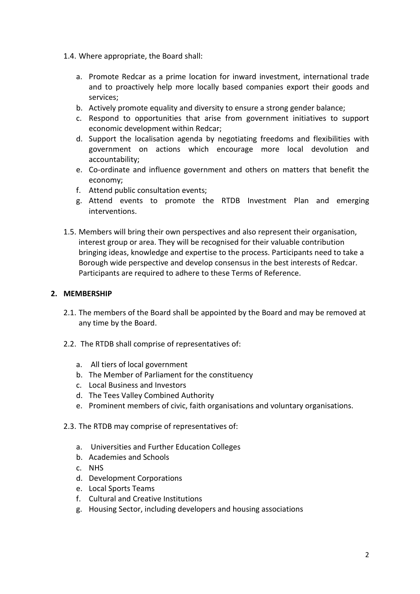- 1.4. Where appropriate, the Board shall:
	- a. Promote Redcar as a prime location for inward investment, international trade and to proactively help more locally based companies export their goods and services;
	- b. Actively promote equality and diversity to ensure a strong gender balance;
	- c. Respond to opportunities that arise from government initiatives to support economic development within Redcar;
	- d. Support the localisation agenda by negotiating freedoms and flexibilities with government on actions which encourage more local devolution and accountability;
	- e. Co-ordinate and influence government and others on matters that benefit the economy;
	- f. Attend public consultation events;
	- g. Attend events to promote the RTDB Investment Plan and emerging interventions.
- 1.5. Members will bring their own perspectives and also represent their organisation, interest group or area. They will be recognised for their valuable contribution bringing ideas, knowledge and expertise to the process. Participants need to take a Borough wide perspective and develop consensus in the best interests of Redcar. Participants are required to adhere to these Terms of Reference.

# **2. MEMBERSHIP**

- 2.1. The members of the Board shall be appointed by the Board and may be removed at any time by the Board.
- 2.2. The RTDB shall comprise of representatives of:
	- a. All tiers of local government
	- b. The Member of Parliament for the constituency
	- c. Local Business and Investors
	- d. The Tees Valley Combined Authority
	- e. Prominent members of civic, faith organisations and voluntary organisations.
- 2.3. The RTDB may comprise of representatives of:
	- a. Universities and Further Education Colleges
	- b. Academies and Schools
	- c. NHS
	- d. Development Corporations
	- e. Local Sports Teams
	- f. Cultural and Creative Institutions
	- g. Housing Sector, including developers and housing associations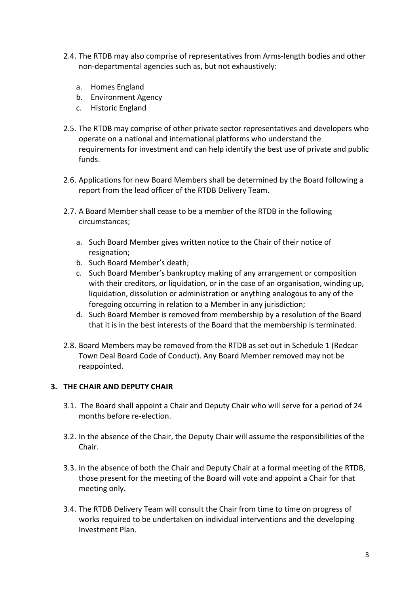- 2.4. The RTDB may also comprise of representatives from Arms-length bodies and other non-departmental agencies such as, but not exhaustively:
	- a. Homes England
	- b. Environment Agency
	- c. Historic England
- 2.5. The RTDB may comprise of other private sector representatives and developers who operate on a national and international platforms who understand the requirements for investment and can help identify the best use of private and public funds.
- 2.6. Applications for new Board Members shall be determined by the Board following a report from the lead officer of the RTDB Delivery Team.
- 2.7. A Board Member shall cease to be a member of the RTDB in the following circumstances;
	- a. Such Board Member gives written notice to the Chair of their notice of resignation;
	- b. Such Board Member's death;
	- c. Such Board Member's bankruptcy making of any arrangement or composition with their creditors, or liquidation, or in the case of an organisation, winding up, liquidation, dissolution or administration or anything analogous to any of the foregoing occurring in relation to a Member in any jurisdiction;
	- d. Such Board Member is removed from membership by a resolution of the Board that it is in the best interests of the Board that the membership is terminated.
- 2.8. Board Members may be removed from the RTDB as set out in Schedule 1 (Redcar Town Deal Board Code of Conduct). Any Board Member removed may not be reappointed.

# **3. THE CHAIR AND DEPUTY CHAIR**

- 3.1. The Board shall appoint a Chair and Deputy Chair who will serve for a period of 24 months before re-election.
- 3.2. In the absence of the Chair, the Deputy Chair will assume the responsibilities of the Chair.
- 3.3. In the absence of both the Chair and Deputy Chair at a formal meeting of the RTDB, those present for the meeting of the Board will vote and appoint a Chair for that meeting only.
- 3.4. The RTDB Delivery Team will consult the Chair from time to time on progress of works required to be undertaken on individual interventions and the developing Investment Plan.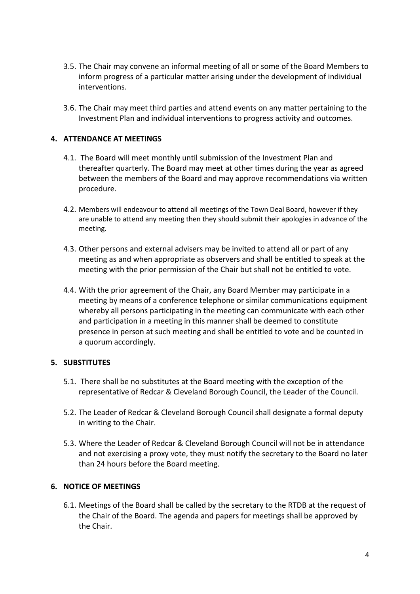- 3.5. The Chair may convene an informal meeting of all or some of the Board Members to inform progress of a particular matter arising under the development of individual interventions.
- 3.6. The Chair may meet third parties and attend events on any matter pertaining to the Investment Plan and individual interventions to progress activity and outcomes.

### **4. ATTENDANCE AT MEETINGS**

- 4.1. The Board will meet monthly until submission of the Investment Plan and thereafter quarterly. The Board may meet at other times during the year as agreed between the members of the Board and may approve recommendations via written procedure.
- 4.2. Members will endeavour to attend all meetings of the Town Deal Board, however if they are unable to attend any meeting then they should submit their apologies in advance of the meeting.
- 4.3. Other persons and external advisers may be invited to attend all or part of any meeting as and when appropriate as observers and shall be entitled to speak at the meeting with the prior permission of the Chair but shall not be entitled to vote.
- 4.4. With the prior agreement of the Chair, any Board Member may participate in a meeting by means of a conference telephone or similar communications equipment whereby all persons participating in the meeting can communicate with each other and participation in a meeting in this manner shall be deemed to constitute presence in person at such meeting and shall be entitled to vote and be counted in a quorum accordingly.

### **5. SUBSTITUTES**

- 5.1. There shall be no substitutes at the Board meeting with the exception of the representative of Redcar & Cleveland Borough Council, the Leader of the Council.
- 5.2. The Leader of Redcar & Cleveland Borough Council shall designate a formal deputy in writing to the Chair.
- 5.3. Where the Leader of Redcar & Cleveland Borough Council will not be in attendance and not exercising a proxy vote, they must notify the secretary to the Board no later than 24 hours before the Board meeting.

### **6. NOTICE OF MEETINGS**

6.1. Meetings of the Board shall be called by the secretary to the RTDB at the request of the Chair of the Board. The agenda and papers for meetings shall be approved by the Chair.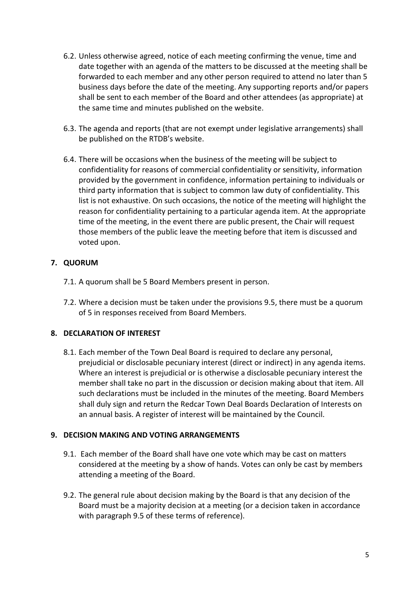- 6.2. Unless otherwise agreed, notice of each meeting confirming the venue, time and date together with an agenda of the matters to be discussed at the meeting shall be forwarded to each member and any other person required to attend no later than 5 business days before the date of the meeting. Any supporting reports and/or papers shall be sent to each member of the Board and other attendees (as appropriate) at the same time and minutes published on the website.
- 6.3. The agenda and reports (that are not exempt under legislative arrangements) shall be published on the RTDB's website.
- 6.4. There will be occasions when the business of the meeting will be subject to confidentiality for reasons of commercial confidentiality or sensitivity, information provided by the government in confidence, information pertaining to individuals or third party information that is subject to common law duty of confidentiality. This list is not exhaustive. On such occasions, the notice of the meeting will highlight the reason for confidentiality pertaining to a particular agenda item. At the appropriate time of the meeting, in the event there are public present, the Chair will request those members of the public leave the meeting before that item is discussed and voted upon.

# **7. QUORUM**

- 7.1. A quorum shall be 5 Board Members present in person.
- 7.2. Where a decision must be taken under the provisions 9.5, there must be a quorum of 5 in responses received from Board Members.

# **8. DECLARATION OF INTEREST**

8.1. Each member of the Town Deal Board is required to declare any personal, prejudicial or disclosable pecuniary interest (direct or indirect) in any agenda items. Where an interest is prejudicial or is otherwise a disclosable pecuniary interest the member shall take no part in the discussion or decision making about that item. All such declarations must be included in the minutes of the meeting. Board Members shall duly sign and return the Redcar Town Deal Boards Declaration of Interests on an annual basis. A register of interest will be maintained by the Council.

### **9. DECISION MAKING AND VOTING ARRANGEMENTS**

- 9.1. Each member of the Board shall have one vote which may be cast on matters considered at the meeting by a show of hands. Votes can only be cast by members attending a meeting of the Board.
- 9.2. The general rule about decision making by the Board is that any decision of the Board must be a majority decision at a meeting (or a decision taken in accordance with paragraph 9.5 of these terms of reference).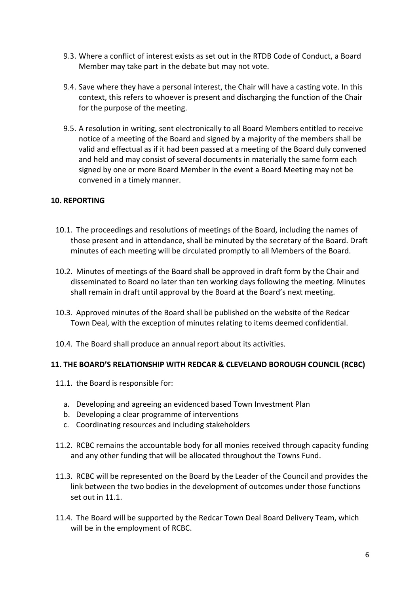- 9.3. Where a conflict of interest exists as set out in the RTDB Code of Conduct, a Board Member may take part in the debate but may not vote.
- 9.4. Save where they have a personal interest, the Chair will have a casting vote. In this context, this refers to whoever is present and discharging the function of the Chair for the purpose of the meeting.
- 9.5. A resolution in writing, sent electronically to all Board Members entitled to receive notice of a meeting of the Board and signed by a majority of the members shall be valid and effectual as if it had been passed at a meeting of the Board duly convened and held and may consist of several documents in materially the same form each signed by one or more Board Member in the event a Board Meeting may not be convened in a timely manner.

### **10. REPORTING**

- 10.1. The proceedings and resolutions of meetings of the Board, including the names of those present and in attendance, shall be minuted by the secretary of the Board. Draft minutes of each meeting will be circulated promptly to all Members of the Board.
- 10.2. Minutes of meetings of the Board shall be approved in draft form by the Chair and disseminated to Board no later than ten working days following the meeting. Minutes shall remain in draft until approval by the Board at the Board's next meeting.
- 10.3. Approved minutes of the Board shall be published on the website of the Redcar Town Deal, with the exception of minutes relating to items deemed confidential.
- 10.4. The Board shall produce an annual report about its activities.

### **11. THE BOARD'S RELATIONSHIP WITH REDCAR & CLEVELAND BOROUGH COUNCIL (RCBC)**

- 11.1. the Board is responsible for:
	- a. Developing and agreeing an evidenced based Town Investment Plan
	- b. Developing a clear programme of interventions
	- c. Coordinating resources and including stakeholders
- 11.2. RCBC remains the accountable body for all monies received through capacity funding and any other funding that will be allocated throughout the Towns Fund.
- 11.3. RCBC will be represented on the Board by the Leader of the Council and provides the link between the two bodies in the development of outcomes under those functions set out in 11.1.
- 11.4. The Board will be supported by the Redcar Town Deal Board Delivery Team, which will be in the employment of RCBC.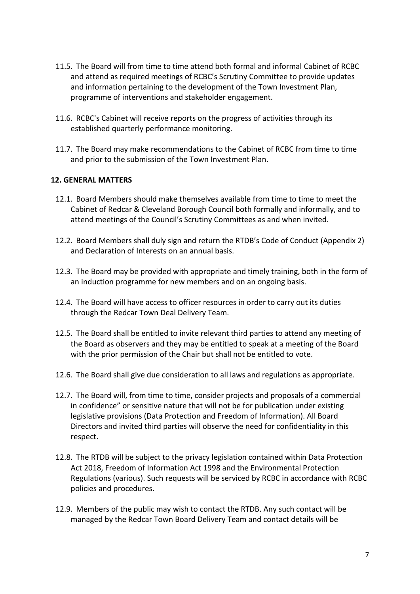- 11.5. The Board will from time to time attend both formal and informal Cabinet of RCBC and attend as required meetings of RCBC's Scrutiny Committee to provide updates and information pertaining to the development of the Town Investment Plan, programme of interventions and stakeholder engagement.
- 11.6. RCBC's Cabinet will receive reports on the progress of activities through its established quarterly performance monitoring.
- 11.7. The Board may make recommendations to the Cabinet of RCBC from time to time and prior to the submission of the Town Investment Plan.

### **12. GENERAL MATTERS**

- 12.1. Board Members should make themselves available from time to time to meet the Cabinet of Redcar & Cleveland Borough Council both formally and informally, and to attend meetings of the Council's Scrutiny Committees as and when invited.
- 12.2. Board Members shall duly sign and return the RTDB's Code of Conduct (Appendix 2) and Declaration of Interests on an annual basis.
- 12.3. The Board may be provided with appropriate and timely training, both in the form of an induction programme for new members and on an ongoing basis.
- 12.4. The Board will have access to officer resources in order to carry out its duties through the Redcar Town Deal Delivery Team.
- 12.5. The Board shall be entitled to invite relevant third parties to attend any meeting of the Board as observers and they may be entitled to speak at a meeting of the Board with the prior permission of the Chair but shall not be entitled to vote.
- 12.6. The Board shall give due consideration to all laws and regulations as appropriate.
- 12.7. The Board will, from time to time, consider projects and proposals of a commercial in confidence" or sensitive nature that will not be for publication under existing legislative provisions (Data Protection and Freedom of Information). All Board Directors and invited third parties will observe the need for confidentiality in this respect.
- 12.8. The RTDB will be subject to the privacy legislation contained within Data Protection Act 2018, Freedom of Information Act 1998 and the Environmental Protection Regulations (various). Such requests will be serviced by RCBC in accordance with RCBC policies and procedures.
- 12.9. Members of the public may wish to contact the RTDB. Any such contact will be managed by the Redcar Town Board Delivery Team and contact details will be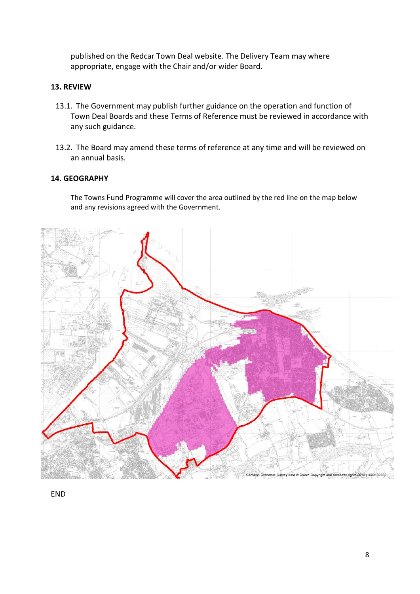published on the Redcar Town Deal website. The Delivery Team may where appropriate, engage with the Chair and/or wider Board.

# **13. REVIEW**

- 13.1. The Government may publish further guidance on the operation and function of Town Deal Boards and these Terms of Reference must be reviewed in accordance with any such guidance.
- 13.2. The Board may amend these terms of reference at any time and will be reviewed on an annual basis.

# **14. GEOGRAPHY**

The Towns Fund Programme will cover the area outlined by the red line on the map below and any revisions agreed with the Government.



END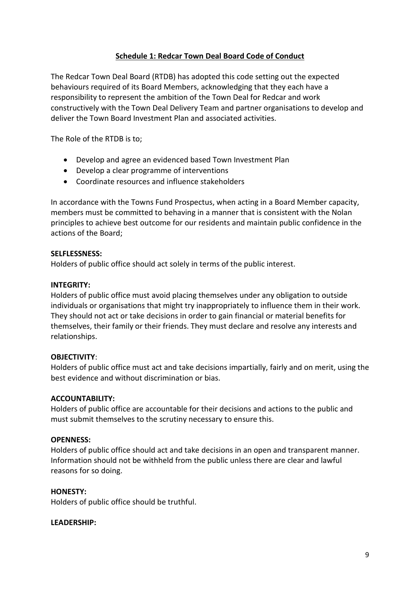# **Schedule 1: Redcar Town Deal Board Code of Conduct**

The Redcar Town Deal Board (RTDB) has adopted this code setting out the expected behaviours required of its Board Members, acknowledging that they each have a responsibility to represent the ambition of the Town Deal for Redcar and work constructively with the Town Deal Delivery Team and partner organisations to develop and deliver the Town Board Investment Plan and associated activities.

The Role of the RTDB is to;

- Develop and agree an evidenced based Town Investment Plan
- Develop a clear programme of interventions
- Coordinate resources and influence stakeholders

In accordance with the Towns Fund Prospectus, when acting in a Board Member capacity, members must be committed to behaving in a manner that is consistent with the Nolan principles to achieve best outcome for our residents and maintain public confidence in the actions of the Board;

### **SELFLESSNESS:**

Holders of public office should act solely in terms of the public interest.

### **INTEGRITY:**

Holders of public office must avoid placing themselves under any obligation to outside individuals or organisations that might try inappropriately to influence them in their work. They should not act or take decisions in order to gain financial or material benefits for themselves, their family or their friends. They must declare and resolve any interests and relationships.

### **OBJECTIVITY**:

Holders of public office must act and take decisions impartially, fairly and on merit, using the best evidence and without discrimination or bias.

### **ACCOUNTABILITY:**

Holders of public office are accountable for their decisions and actions to the public and must submit themselves to the scrutiny necessary to ensure this.

### **OPENNESS:**

Holders of public office should act and take decisions in an open and transparent manner. Information should not be withheld from the public unless there are clear and lawful reasons for so doing.

### **HONESTY:**

Holders of public office should be truthful.

### **LEADERSHIP:**